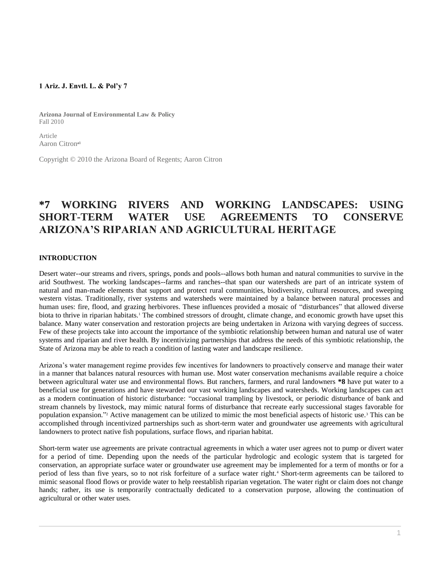## **1 Ariz. J. Envtl. L. & Pol'y 7**

**Arizona Journal of Environmental Law & Policy** Fall 2010

Article Aaron Citron<sup>al</sup>

Copyright © 2010 the Arizona Board of Regents; Aaron Citron

# **\*7 WORKING RIVERS AND WORKING LANDSCAPES: USING SHORT-TERM WATER USE AGREEMENTS TO CONSERVE ARIZONA'S RIPARIAN AND AGRICULTURAL HERITAGE**

## **INTRODUCTION**

Desert water--our streams and rivers, springs, ponds and pools--allows both human and natural communities to survive in the arid Southwest. The working landscapes--farms and ranches--that span our watersheds are part of an intricate system of natural and man-made elements that support and protect rural communities, biodiversity, cultural resources, and sweeping western vistas. Traditionally, river systems and watersheds were maintained by a balance between natural processes and human uses: fire, flood, and grazing herbivores. These influences provided a mosaic of "disturbances" that allowed diverse biota to thrive in riparian habitats.<sup>1</sup> The combined stressors of drought, climate change, and economic growth have upset this balance. Many water conservation and restoration projects are being undertaken in Arizona with varying degrees of success. Few of these projects take into account the importance of the symbiotic relationship between human and natural use of water systems and riparian and river health. By incentivizing partnerships that address the needs of this symbiotic relationship, the State of Arizona may be able to reach a condition of lasting water and landscape resilience.

Arizona's water management regime provides few incentives for landowners to proactively conserve and manage their water in a manner that balances natural resources with human use. Most water conservation mechanisms available require a choice between agricultural water use and environmental flows. But ranchers, farmers, and rural landowners **\*8** have put water to a beneficial use for generations and have stewarded our vast working landscapes and watersheds. Working landscapes can act as a modern continuation of historic disturbance: "occasional trampling by livestock, or periodic disturbance of bank and stream channels by livestock, may mimic natural forms of disturbance that recreate early successional stages favorable for population expansion." <sup>2</sup> Active management can be utilized to mimic the most beneficial aspects of historic use.<sup>3</sup> This can be accomplished through incentivized partnerships such as short-term water and groundwater use agreements with agricultural landowners to protect native fish populations, surface flows, and riparian habitat.

Short-term water use agreements are private contractual agreements in which a water user agrees not to pump or divert water for a period of time. Depending upon the needs of the particular hydrologic and ecologic system that is targeted for conservation, an appropriate surface water or groundwater use agreement may be implemented for a term of months or for a period of less than five years, so to not risk forfeiture of a surface water right.<sup>4</sup> Short-term agreements can be tailored to mimic seasonal flood flows or provide water to help reestablish riparian vegetation. The water right or claim does not change hands; rather, its use is temporarily contractually dedicated to a conservation purpose, allowing the continuation of agricultural or other water uses.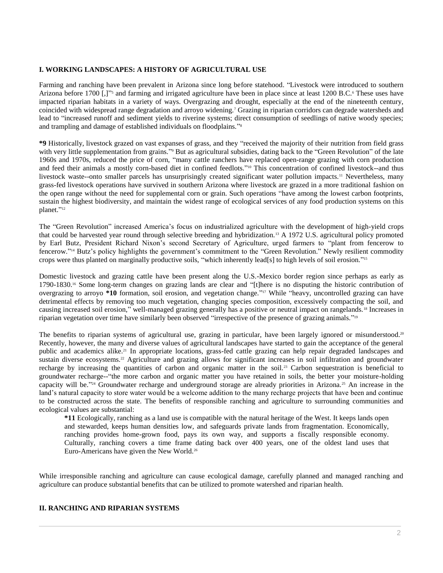## **I. WORKING LANDSCAPES: A HISTORY OF AGRICULTURAL USE**

Farming and ranching have been prevalent in Arizona since long before statehood. "Livestock were introduced to southern Arizona before 1700 [,]" and farming and irrigated agriculture have been in place since at least 1200 B.C.<sup>6</sup> These uses have impacted riparian habitats in a variety of ways. Overgrazing and drought, especially at the end of the nineteenth century, coincided with widespread range degradation and arroyo widening.<sup>7</sup> Grazing in riparian corridors can degrade watersheds and lead to "increased runoff and sediment yields to riverine systems; direct consumption of seedlings of native woody species; and trampling and damage of established individuals on floodplains." 8

**\*9** Historically, livestock grazed on vast expanses of grass, and they "received the majority of their nutrition from field grass with very little supplementation from grains."<sup>9</sup> But as agricultural subsidies, dating back to the "Green Revolution" of the late 1960s and 1970s, reduced the price of corn, "many cattle ranchers have replaced open-range grazing with corn production and feed their animals a mostly corn-based diet in confined feedlots."<sup>10</sup> This concentration of confined livestock--and thus livestock waste--onto smaller parcels has unsurprisingly created significant water pollution impacts.<sup>11</sup> Nevertheless, many grass-fed livestock operations have survived in southern Arizona where livestock are grazed in a more traditional fashion on the open range without the need for supplemental corn or grain. Such operations "have among the lowest carbon footprints, sustain the highest biodiversity, and maintain the widest range of ecological services of any food production systems on this planet." 12

The "Green Revolution" increased America's focus on industrialized agriculture with the development of high-yield crops that could be harvested year round through selective breeding and hybridization.<sup>13</sup> A 1972 U.S. agricultural policy promoted by Earl Butz, President Richard Nixon's second Secretary of Agriculture, urged farmers to "plant from fencerow to fencerow." <sup>14</sup> Butz's policy highlights the government's commitment to the "Green Revolution." Newly resilient commodity crops were thus planted on marginally productive soils, "which inherently lead[s] to high levels of soil erosion." 15

Domestic livestock and grazing cattle have been present along the U.S.-Mexico border region since perhaps as early as 1790-1830.<sup>16</sup> Some long-term changes on grazing lands are clear and "[t]here is no disputing the historic contribution of overgrazing to arroyo **\*10** formation, soil erosion, and vegetation change." <sup>17</sup> While "heavy, uncontrolled grazing can have detrimental effects by removing too much vegetation, changing species composition, excessively compacting the soil, and causing increased soil erosion," well-managed grazing generally has a positive or neutral impact on rangelands.<sup>18</sup> Increases in riparian vegetation over time have similarly been observed "irrespective of the presence of grazing animals." 19

The benefits to riparian systems of agricultural use, grazing in particular, have been largely ignored or misunderstood.<sup>20</sup> Recently, however, the many and diverse values of agricultural landscapes have started to gain the acceptance of the general public and academics alike.<sup>21</sup> In appropriate locations, grass-fed cattle grazing can help repair degraded landscapes and sustain diverse ecosystems.<sup>22</sup> Agriculture and grazing allows for significant increases in soil infiltration and groundwater recharge by increasing the quantities of carbon and organic matter in the soil.<sup>23</sup> Carbon sequestration is beneficial to groundwater recharge--"the more carbon and organic matter you have retained in soils, the better your moisture-holding capacity will be."<sup>24</sup> Groundwater recharge and underground storage are already priorities in Arizona.<sup>25</sup> An increase in the land's natural capacity to store water would be a welcome addition to the many recharge projects that have been and continue to be constructed across the state. The benefits of responsible ranching and agriculture to surrounding communities and ecological values are substantial:

**\*11** Ecologically, ranching as a land use is compatible with the natural heritage of the West. It keeps lands open and stewarded, keeps human densities low, and safeguards private lands from fragmentation. Economically, ranching provides home-grown food, pays its own way, and supports a fiscally responsible economy. Culturally, ranching covers a time frame dating back over 400 years, one of the oldest land uses that Euro-Americans have given the New World.<sup>26</sup>

While irresponsible ranching and agriculture can cause ecological damage, carefully planned and managed ranching and agriculture can produce substantial benefits that can be utilized to promote watershed and riparian health.

#### **II. RANCHING AND RIPARIAN SYSTEMS**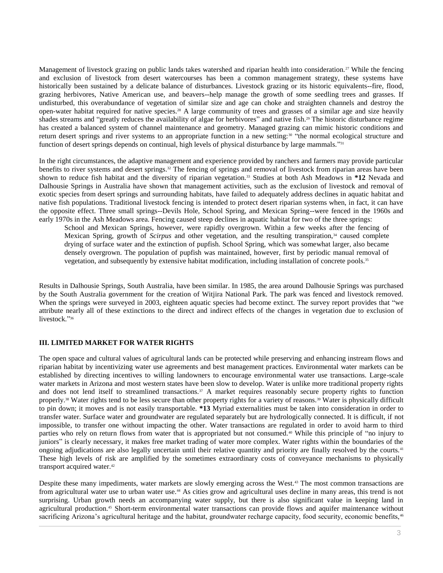Management of livestock grazing on public lands takes watershed and riparian health into consideration.<sup>27</sup> While the fencing and exclusion of livestock from desert watercourses has been a common management strategy, these systems have historically been sustained by a delicate balance of disturbances. Livestock grazing or its historic equivalents--fire, flood, grazing herbivores, Native American use, and beavers--help manage the growth of some seedling trees and grasses. If undisturbed, this overabundance of vegetation of similar size and age can choke and straighten channels and destroy the open-water habitat required for native species.<sup>28</sup> A large community of trees and grasses of a similar age and size heavily shades streams and "greatly reduces the availability of algae for herbivores" and native fish.<sup>29</sup> The historic disturbance regime has created a balanced system of channel maintenance and geometry. Managed grazing can mimic historic conditions and return desert springs and river systems to an appropriate function in a new setting:<sup>30</sup> "the normal ecological structure and function of desert springs depends on continual, high levels of physical disturbance by large mammals."<sup>31</sup>

In the right circumstances, the adaptive management and experience provided by ranchers and farmers may provide particular benefits to river systems and desert springs.<sup>32</sup> The fencing of springs and removal of livestock from riparian areas have been shown to reduce fish habitat and the diversity of riparian vegetation.<sup>33</sup> Studies at both Ash Meadows in **\*12** Nevada and Dalhousie Springs in Australia have shown that management activities, such as the exclusion of livestock and removal of exotic species from desert springs and surrounding habitats, have failed to adequately address declines in aquatic habitat and native fish populations. Traditional livestock fencing is intended to protect desert riparian systems when, in fact, it can have the opposite effect. Three small springs--Devils Hole, School Spring, and Mexican Spring--were fenced in the 1960s and early 1970s in the Ash Meadows area. Fencing caused steep declines in aquatic habitat for two of the three springs:

School and Mexican Springs, however, were rapidly overgrown. Within a few weeks after the fencing of Mexican Spring, growth of *Scirpus* and other vegetation, and the resulting transpiration,<sup>34</sup> caused complete drying of surface water and the extinction of pupfish. School Spring, which was somewhat larger, also became densely overgrown. The population of pupfish was maintained, however, first by periodic manual removal of vegetation, and subsequently by extensive habitat modification, including installation of concrete pools.<sup>35</sup>

Results in Dalhousie Springs, South Australia, have been similar. In 1985, the area around Dalhousie Springs was purchased by the South Australia government for the creation of Witjira National Park. The park was fenced and livestock removed. When the springs were surveyed in 2003, eighteen aquatic species had become extinct. The survey report provides that "we attribute nearly all of these extinctions to the direct and indirect effects of the changes in vegetation due to exclusion of livestock." 36

## **III. LIMITED MARKET FOR WATER RIGHTS**

The open space and cultural values of agricultural lands can be protected while preserving and enhancing instream flows and riparian habitat by incentivizing water use agreements and best management practices. Environmental water markets can be established by directing incentives to willing landowners to encourage environmental water use transactions. Large-scale water markets in Arizona and most western states have been slow to develop. Water is unlike more traditional property rights and does not lend itself to streamlined transactions.<sup>37</sup> A market requires reasonably secure property rights to function properly.<sup>38</sup> Water rights tend to be less secure than other property rights for a variety of reasons.<sup>39</sup> Water is physically difficult to pin down; it moves and is not easily transportable. **\*13** Myriad externalities must be taken into consideration in order to transfer water. Surface water and groundwater are regulated separately but are hydrologically connected. It is difficult, if not impossible, to transfer one without impacting the other. Water transactions are regulated in order to avoid harm to third parties who rely on return flows from water that is appropriated but not consumed.<sup>40</sup> While this principle of "no injury to juniors" is clearly necessary, it makes free market trading of water more complex. Water rights within the boundaries of the ongoing adjudications are also legally uncertain until their relative quantity and priority are finally resolved by the courts.<sup>41</sup> These high levels of risk are amplified by the sometimes extraordinary costs of conveyance mechanisms to physically transport acquired water.<sup>42</sup>

Despite these many impediments, water markets are slowly emerging across the West.<sup>43</sup> The most common transactions are from agricultural water use to urban water use.<sup>44</sup> As cities grow and agricultural uses decline in many areas, this trend is not surprising. Urban growth needs an accompanying water supply, but there is also significant value in keeping land in agricultural production.<sup>45</sup> Short-term environmental water transactions can provide flows and aquifer maintenance without sacrificing Arizona's agricultural heritage and the habitat, groundwater recharge capacity, food security, economic benefits, 46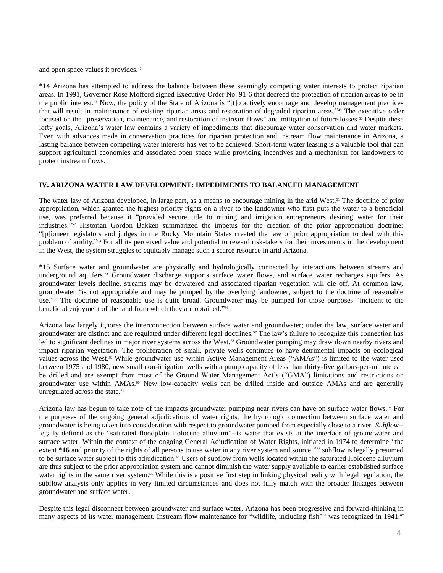and open space values it provides.<sup>47</sup>

**\*14** Arizona has attempted to address the balance between these seemingly competing water interests to protect riparian areas. In 1991, Governor Rose Mofford signed [Executive Order](http://www.westlaw.com/Link/Document/FullText?findType=Y&pubNum=0001043&cite=EXECORDERNO91-6&originatingDoc=I0ecc82932df011e18b05fdf15589d8e8&refType=CA&originationContext=document&vr=3.0&rs=cblt1.0&transitionType=DocumentItem&contextData=(sc.Search)) No. 91-6 that decreed the protection of riparian areas to be in the public interest.<sup>48</sup> Now, the policy of the State of Arizona is "[t]o actively encourage and develop management practices that will result in maintenance of existing riparian areas and restoration of degraded riparian areas." <sup>49</sup> The executive order focused on the "preservation, maintenance, and restoration of instream flows" and mitigation of future losses.<sup>50</sup> Despite these lofty goals, Arizona's water law contains a variety of impediments that discourage water conservation and water markets. Even with advances made in conservation practices for riparian protection and instream flow maintenance in Arizona, a lasting balance between competing water interests has yet to be achieved. Short-term water leasing is a valuable tool that can support agricultural economies and associated open space while providing incentives and a mechanism for landowners to protect instream flows.

## **IV. ARIZONA WATER LAW DEVELOPMENT: IMPEDIMENTS TO BALANCED MANAGEMENT**

The water law of Arizona developed, in large part, as a means to encourage mining in the arid West.<sup>51</sup> The doctrine of prior appropriation, which granted the highest priority rights on a river to the landowner who first puts the water to a beneficial use, was preferred because it "provided secure title to mining and irrigation entrepreneurs desiring water for their industries." <sup>52</sup> Historian Gordon Bakken summarized the impetus for the creation of the prior appropriation doctrine: "[p]ioneer legislators and judges in the Rocky Mountain States created the law of prior appropriation to deal with this problem of aridity." <sup>53</sup> For all its perceived value and potential to reward risk-takers for their investments in the development in the West, the system struggles to equitably manage such a scarce resource in arid Arizona.

**\*15** Surface water and groundwater are physically and hydrologically connected by interactions between streams and underground aquifers.<sup>54</sup> Groundwater discharge supports surface water flows, and surface water recharges aquifers. As groundwater levels decline, streams may be dewatered and associated riparian vegetation will die off. At common law, groundwater "is not appropriable and may be pumped by the overlying landowner, subject to the doctrine of reasonable use."<sup>55</sup> The doctrine of reasonable use is quite broad. Groundwater may be pumped for those purposes "incident to the beneficial enjoyment of the land from which they are obtained." 56

Arizona law largely ignores the interconnection between surface water and groundwater; under the law, surface water and groundwater are distinct and are regulated under different legal doctrines.<sup>57</sup> The law's failure to recognize this connection has led to significant declines in major river systems across the West.<sup>58</sup> Groundwater pumping may draw down nearby rivers and impact riparian vegetation. The proliferation of small, private wells continues to have detrimental impacts on ecological values across the West.<sup>59</sup> While groundwater use within Active Management Areas ("AMAs") is limited to the water used between 1975 and 1980, new small non-irrigation wells with a pump capacity of less than thirty-five gallons-per-minute can be drilled and are exempt from most of the Ground Water Management Act's ("GMA") limitations and restrictions on groundwater use within AMAs.<sup>60</sup> New low-capacity wells can be drilled inside and outside AMAs and are generally unregulated across the state.<sup>61</sup>

Arizona law has begun to take note of the impacts groundwater pumping near rivers can have on surface water flows.<sup>62</sup> For the purposes of the ongoing general adjudications of water rights, the hydrologic connection between surface water and groundwater is being taken into consideration with respect to groundwater pumped from especially close to a river. *Subflow*- legally defined as the "saturated floodplain Holocene alluvium"--is water that exists at the interface of groundwater and surface water. Within the context of the ongoing General Adjudication of Water Rights, initiated in 1974 to determine "the extent \*16 and priority of the rights of all persons to use water in any river system and source,"<sup>63</sup> subflow is legally presumed to be surface water subject to this adjudication.<sup>64</sup> Users of subflow from wells located within the saturated Holocene alluvium are thus subject to the prior appropriation system and cannot diminish the water supply available to earlier established surface water rights in the same river system.<sup>65</sup> While this is a positive first step in linking physical reality with legal regulation, the subflow analysis only applies in very limited circumstances and does not fully match with the broader linkages between groundwater and surface water.

Despite this legal disconnect between groundwater and surface water, Arizona has been progressive and forward-thinking in many aspects of its water management. Instream flow maintenance for "wildlife, including fish"<sup>66</sup> was recognized in 1941.<sup>67</sup>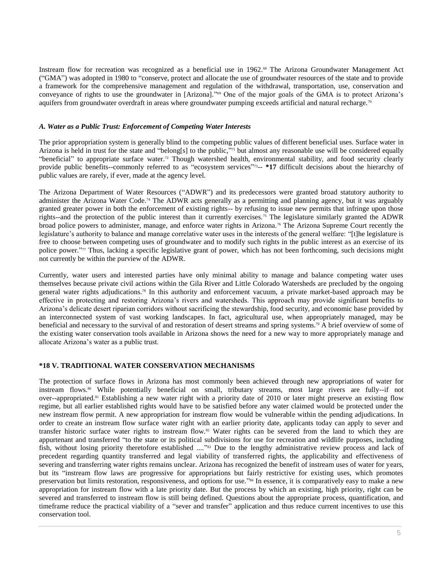Instream flow for recreation was recognized as a beneficial use in 1962.<sup>68</sup> The Arizona Groundwater Management Act ("GMA") was adopted in 1980 to "conserve, protect and allocate the use of groundwater resources of the state and to provide a framework for the comprehensive management and regulation of the withdrawal, transportation, use, conservation and conveyance of rights to use the groundwater in [Arizona]." <sup>69</sup> One of the major goals of the GMA is to protect Arizona's aquifers from groundwater overdraft in areas where groundwater pumping exceeds artificial and natural recharge.<sup>70</sup>

#### *A. Water as a Public Trust: Enforcement of Competing Water Interests*

The prior appropriation system is generally blind to the competing public values of different beneficial uses. Surface water in Arizona is held in trust for the state and "belong[s] to the public,"<sup>1</sup> but almost any reasonable use will be considered equally "beneficial" to appropriate surface water.<sup>72</sup> Though watershed health, environmental stability, and food security clearly provide public benefits--commonly referred to as "ecosystem services"<sup>73</sup>-- \*17 difficult decisions about the hierarchy of public values are rarely, if ever, made at the agency level.

The Arizona Department of Water Resources ("ADWR") and its predecessors were granted broad statutory authority to administer the Arizona Water Code.<sup>74</sup> The ADWR acts generally as a permitting and planning agency, but it was arguably granted greater power in both the enforcement of existing rights-- by refusing to issue new permits that infringe upon those rights--and the protection of the public interest than it currently exercises.<sup>75</sup> The legislature similarly granted the ADWR broad police powers to administer, manage, and enforce water rights in Arizona.<sup>76</sup> The Arizona Supreme Court recently the legislature's authority to balance and manage correlative water uses in the interests of the general welfare: "[t]he legislature is free to choose between competing uses of groundwater and to modify such rights in the public interest as an exercise of its police power."<sup>77</sup> Thus, lacking a specific legislative grant of power, which has not been forthcoming, such decisions might not currently be within the purview of the ADWR.

Currently, water users and interested parties have only minimal ability to manage and balance competing water uses themselves because private civil actions within the Gila River and Little Colorado Watersheds are precluded by the ongoing general water rights adjudications.<sup>78</sup> In this authority and enforcement vacuum, a private market-based approach may be effective in protecting and restoring Arizona's rivers and watersheds. This approach may provide significant benefits to Arizona's delicate desert riparian corridors without sacrificing the stewardship, food security, and economic base provided by an interconnected system of vast working landscapes. In fact, agricultural use, when appropriately managed, may be beneficial and necessary to the survival of and restoration of desert streams and spring systems.<sup>79</sup> A brief overview of some of the existing water conservation tools available in Arizona shows the need for a new way to more appropriately manage and allocate Arizona's water as a public trust.

## **\*18 V. TRADITIONAL WATER CONSERVATION MECHANISMS**

The protection of surface flows in Arizona has most commonly been achieved through new appropriations of water for instream flows.<sup>80</sup> While potentially beneficial on small, tributary streams, most large rivers are fully--if not over--appropriated.<sup>81</sup> Establishing a new water right with a priority date of 2010 or later might preserve an existing flow regime, but all earlier established rights would have to be satisfied before any water claimed would be protected under the new instream flow permit. A new appropriation for instream flow would be vulnerable within the pending adjudications. In order to create an instream flow surface water right with an earlier priority date, applicants today can apply to sever and transfer historic surface water rights to instream flow.<sup>82</sup> Water rights can be severed from the land to which they are appurtenant and transferred "to the state or its political subdivisions for use for recreation and wildlife purposes, including fish, without losing priority theretofore established ...." <sup>83</sup> Due to the lengthy administrative review process and lack of precedent regarding quantity transferred and legal viability of transferred rights, the applicability and effectiveness of severing and transferring water rights remains unclear. Arizona has recognized the benefit of instream uses of water for years, but its "instream flow laws are progressive for appropriations but fairly restrictive for existing uses, which promotes preservation but limits restoration, responsiveness, and options for use." <sup>84</sup> In essence, it is comparatively easy to make a new appropriation for instream flow with a late priority date. But the process by which an existing, high priority, right can be severed and transferred to instream flow is still being defined. Questions about the appropriate process, quantification, and timeframe reduce the practical viability of a "sever and transfer" application and thus reduce current incentives to use this conservation tool.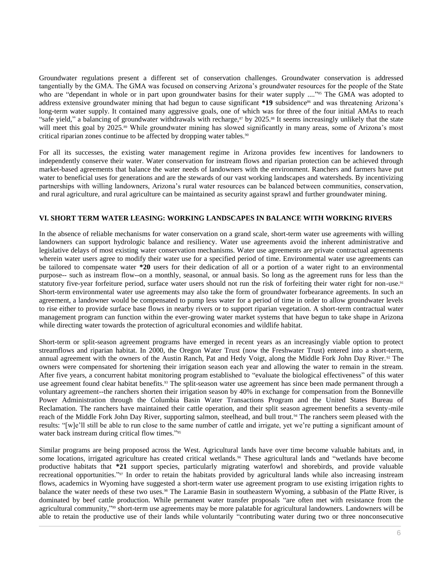Groundwater regulations present a different set of conservation challenges. Groundwater conservation is addressed tangentially by the GMA. The GMA was focused on conserving Arizona's groundwater resources for the people of the State who are "dependant in whole or in part upon groundwater basins for their water supply ...."<sup>55</sup> The GMA was adopted to address extensive groundwater mining that had begun to cause significant \*19 subsidence<sup>86</sup> and was threatening Arizona's long-term water supply. It contained many aggressive goals, one of which was for three of the four initial AMAs to reach "safe yield," a balancing of groundwater withdrawals with recharge,<sup>87</sup> by 2025.<sup>88</sup> It seems increasingly unlikely that the state will meet this goal by 2025.<sup>89</sup> While groundwater mining has slowed significantly in many areas, some of Arizona's most critical riparian zones continue to be affected by dropping water tables.<sup>90</sup>

For all its successes, the existing water management regime in Arizona provides few incentives for landowners to independently conserve their water. Water conservation for instream flows and riparian protection can be achieved through market-based agreements that balance the water needs of landowners with the environment. Ranchers and farmers have put water to beneficial uses for generations and are the stewards of our vast working landscapes and watersheds. By incentivizing partnerships with willing landowners, Arizona's rural water resources can be balanced between communities, conservation, and rural agriculture, and rural agriculture can be maintained as security against sprawl and further groundwater mining.

#### **VI. SHORT TERM WATER LEASING: WORKING LANDSCAPES IN BALANCE WITH WORKING RIVERS**

In the absence of reliable mechanisms for water conservation on a grand scale, short-term water use agreements with willing landowners can support hydrologic balance and resiliency. Water use agreements avoid the inherent administrative and legislative delays of most existing water conservation mechanisms. Water use agreements are private contractual agreements wherein water users agree to modify their water use for a specified period of time. Environmental water use agreements can be tailored to compensate water **\*20** users for their dedication of all or a portion of a water right to an environmental purpose-- such as instream flow--on a monthly, seasonal, or annual basis. So long as the agreement runs for less than the statutory five-year forfeiture period, surface water users should not run the risk of forfeiting their water right for non-use.<sup>91</sup> Short-term environmental water use agreements may also take the form of groundwater forbearance agreements. In such an agreement, a landowner would be compensated to pump less water for a period of time in order to allow groundwater levels to rise either to provide surface base flows in nearby rivers or to support riparian vegetation. A short-term contractual water management program can function within the ever-growing water market systems that have begun to take shape in Arizona while directing water towards the protection of agricultural economies and wildlife habitat.

Short-term or split-season agreement programs have emerged in recent years as an increasingly viable option to protect streamflows and riparian habitat. In 2000, the Oregon Water Trust (now the Freshwater Trust) entered into a short-term, annual agreement with the owners of the Austin Ranch, Pat and Hedy Voigt, along the Middle Fork John Day River.<sup>92</sup> The owners were compensated for shortening their irrigation season each year and allowing the water to remain in the stream. After five years, a concurrent habitat monitoring program established to "evaluate the biological effectiveness" of this water use agreement found clear habitat benefits.<sup>93</sup> The split-season water use agreement has since been made permanent through a voluntary agreement--the ranchers shorten their irrigation season by 40% in exchange for compensation from the Bonneville Power Administration through the Columbia Basin Water Transactions Program and the United States Bureau of Reclamation. The ranchers have maintained their cattle operation, and their split season agreement benefits a seventy-mile reach of the Middle Fork John Day River, supporting salmon, steelhead, and bull trout.<sup>94</sup> The ranchers seem pleased with the results: "[w]e'll still be able to run close to the same number of cattle and irrigate, yet we're putting a significant amount of water back instream during critical flow times."<sup>95</sup>

Similar programs are being proposed across the West. Agricultural lands have over time become valuable habitats and, in some locations, irrigated agriculture has created critical wetlands.<sup>96</sup> These agricultural lands and "wetlands have become productive habitats that **\*21** support species, particularly migrating waterfowl and shorebirds, and provide valuable recreational opportunities."<sup>97</sup> In order to retain the habitats provided by agricultural lands while also increasing instream flows, academics in Wyoming have suggested a short-term water use agreement program to use existing irrigation rights to balance the water needs of these two uses.<sup>98</sup> The Laramie Basin in southeastern Wyoming, a subbasin of the Platte River, is dominated by beef cattle production. While permanent water transfer proposals "are often met with resistance from the agricultural community,"<sup>99</sup> short-term use agreements may be more palatable for agricultural landowners. Landowners will be able to retain the productive use of their lands while voluntarily "contributing water during two or three nonconsecutive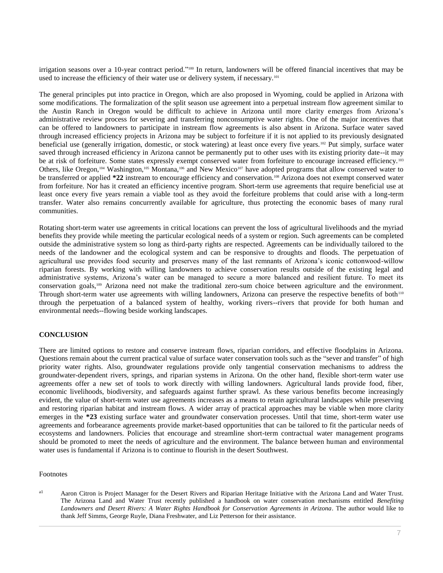irrigation seasons over a 10-year contract period."<sup>100</sup> In return, landowners will be offered financial incentives that may be used to increase the efficiency of their water use or delivery system, if necessary.<sup>101</sup>

The general principles put into practice in Oregon, which are also proposed in Wyoming, could be applied in Arizona with some modifications. The formalization of the split season use agreement into a perpetual instream flow agreement similar to the Austin Ranch in Oregon would be difficult to achieve in Arizona until more clarity emerges from Arizona's administrative review process for severing and transferring nonconsumptive water rights. One of the major incentives that can be offered to landowners to participate in instream flow agreements is also absent in Arizona. Surface water saved through increased efficiency projects in Arizona may be subject to forfeiture if it is not applied to its previously designated beneficial use (generally irrigation, domestic, or stock watering) at least once every five years.<sup>102</sup> Put simply, surface water saved through increased efficiency in Arizona cannot be permanently put to other uses with its existing priority date--it may be at risk of forfeiture. Some states expressly exempt conserved water from forfeiture to encourage increased efficiency.<sup>103</sup> Others, like Oregon,<sup>104</sup> Washington,<sup>105</sup> Montana,<sup>106</sup> and New Mexico<sup>107</sup> have adopted programs that allow conserved water to be transferred or applied **\*22** instream to encourage efficiency and conservation.<sup>108</sup> Arizona does not exempt conserved water from forfeiture. Nor has it created an efficiency incentive program. Short-term use agreements that require beneficial use at least once every five years remain a viable tool as they avoid the forfeiture problems that could arise with a long-term transfer. Water also remains concurrently available for agriculture, thus protecting the economic bases of many rural communities.

Rotating short-term water use agreements in critical locations can prevent the loss of agricultural livelihoods and the myriad benefits they provide while meeting the particular ecological needs of a system or region. Such agreements can be completed outside the administrative system so long as third-party rights are respected. Agreements can be individually tailored to the needs of the landowner and the ecological system and can be responsive to droughts and floods. The perpetuation of agricultural use provides food security and preserves many of the last remnants of Arizona's iconic cottonwood-willow riparian forests. By working with willing landowners to achieve conservation results outside of the existing legal and administrative systems, Arizona's water can be managed to secure a more balanced and resilient future. To meet its conservation goals,<sup>109</sup> Arizona need not make the traditional zero-sum choice between agriculture and the environment. Through short-term water use agreements with willing landowners, Arizona can preserve the respective benefits of both<sup>110</sup> through the perpetuation of a balanced system of healthy, working rivers--rivers that provide for both human and environmental needs--flowing beside working landscapes.

## **CONCLUSION**

There are limited options to restore and conserve instream flows, riparian corridors, and effective floodplains in Arizona. Questions remain about the current practical value of surface water conservation tools such as the "sever and transfer" of high priority water rights. Also, groundwater regulations provide only tangential conservation mechanisms to address the groundwater-dependent rivers, springs, and riparian systems in Arizona. On the other hand, flexible short-term water use agreements offer a new set of tools to work directly with willing landowners. Agricultural lands provide food, fiber, economic livelihoods, biodiversity, and safeguards against further sprawl. As these various benefits become increasingly evident, the value of short-term water use agreements increases as a means to retain agricultural landscapes while preserving and restoring riparian habitat and instream flows. A wider array of practical approaches may be viable when more clarity emerges in the **\*23** existing surface water and groundwater conservation processes. Until that time, short-term water use agreements and forbearance agreements provide market-based opportunities that can be tailored to fit the particular needs of ecosystems and landowners. Policies that encourage and streamline short-term contractual water management programs should be promoted to meet the needs of agriculture and the environment. The balance between human and environmental water uses is fundamental if Arizona is to continue to flourish in the desert Southwest.

#### Footnotes

<sup>a1</sup> Aaron Citron is Project Manager for the Desert Rivers and Riparian Heritage Initiative with the Arizona Land and Water Trust. The Arizona Land and Water Trust recently published a handbook on water conservation mechanisms entitled *Benefiting Landowners and Desert Rivers: A Water Rights Handbook for Conservation Agreements in Arizona*. The author would like to thank Jeff Simms, George Ruyle, Diana Freshwater, and Liz Petterson for their assistance.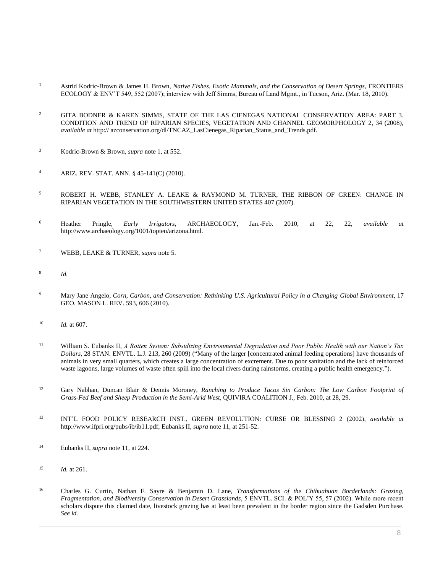- <sup>1</sup> Astrid Kodric-Brown & James H. Brown, *Native Fishes, Exotic Mammals, and the Conservation of Desert Springs*, FRONTIERS ECOLOGY & ENV'T 549, 552 (2007); interview with Jeff Simms, Bureau of Land Mgmt., in Tucson, Ariz. (Mar. 18, 2010).
- <sup>2</sup> GITA BODNER & KAREN SIMMS, STATE OF THE LAS CIENEGAS NATIONAL CONSERVATION AREA: PART 3. CONDITION AND TREND OF RIPARIAN SPECIES, VEGETATION AND CHANNEL GEOMORPHOLOGY 2, 34 (2008), *available at* http:// azconservation.org/dl/TNCAZ\_LasCienegas\_Riparian\_Status\_and\_Trends.pdf.
- <sup>3</sup> Kodric-Brown & Brown, *supra* note 1, at 552.
- <sup>4</sup> [ARIZ. REV. STAT. ANN. § 45-141\(C\)](http://www.westlaw.com/Link/Document/FullText?findType=L&pubNum=1000251&cite=AZSTS45-141&originatingDoc=I0ecc82932df011e18b05fdf15589d8e8&refType=LQ&originationContext=document&vr=3.0&rs=cblt1.0&transitionType=DocumentItem&contextData=(sc.Search)) (2010).
- <sup>5</sup> ROBERT H. WEBB, STANLEY A. LEAKE & RAYMOND M. TURNER, THE RIBBON OF GREEN: CHANGE IN RIPARIAN VEGETATION IN THE SOUTHWESTERN UNITED STATES 407 (2007).
- <sup>6</sup> Heather Pringle, *Early Irrigators*, ARCHAEOLOGY, Jan.-Feb. 2010, at 22, 22, *available at* http://www.archaeology.org/1001/topten/arizona.html.
- <sup>7</sup> WEBB, LEAKE & TURNER, *supra* note 5.
- 8 *Id.*
- <sup>9</sup> Mary Jane Angelo, *[Corn, Carbon, and Conservation: Rethinking U.S. Agricultural Policy in a Changing](http://www.westlaw.com/Link/Document/FullText?findType=Y&serNum=0352547717&pubNum=0105396&originatingDoc=I0ecc82932df011e18b05fdf15589d8e8&refType=LR&fi=co_pp_sp_105396_606&originationContext=document&vr=3.0&rs=cblt1.0&transitionType=DocumentItem&contextData=(sc.Search)#co_pp_sp_105396_606) Global Environment*, 17 [GEO. MASON L. REV. 593, 606 \(2010\).](http://www.westlaw.com/Link/Document/FullText?findType=Y&serNum=0352547717&pubNum=0105396&originatingDoc=I0ecc82932df011e18b05fdf15589d8e8&refType=LR&fi=co_pp_sp_105396_606&originationContext=document&vr=3.0&rs=cblt1.0&transitionType=DocumentItem&contextData=(sc.Search)#co_pp_sp_105396_606)
- <sup>10</sup> *Id.* [at 607.](http://www.westlaw.com/Link/Document/FullText?findType=Y&serNum=0352547717&originatingDoc=I0ecc82932df011e18b05fdf15589d8e8&refType=LR&originationContext=document&vr=3.0&rs=cblt1.0&transitionType=DocumentItem&contextData=(sc.Search))
- <sup>11</sup> William S. Eubanks II, *[A Rotten System: Subsidizing Environmental Degradation and Poor Public Health with our Nation's Tax](http://www.westlaw.com/Link/Document/FullText?findType=Y&serNum=0344845248&pubNum=0001610&originatingDoc=I0ecc82932df011e18b05fdf15589d8e8&refType=LR&fi=co_pp_sp_1610_260&originationContext=document&vr=3.0&rs=cblt1.0&transitionType=DocumentItem&contextData=(sc.Search)#co_pp_sp_1610_260)  Dollars*[, 28 STAN. ENVTL. L.J. 213, 260 \(2009\)](http://www.westlaw.com/Link/Document/FullText?findType=Y&serNum=0344845248&pubNum=0001610&originatingDoc=I0ecc82932df011e18b05fdf15589d8e8&refType=LR&fi=co_pp_sp_1610_260&originationContext=document&vr=3.0&rs=cblt1.0&transitionType=DocumentItem&contextData=(sc.Search)#co_pp_sp_1610_260) ("Many of the larger [concentrated animal feeding operations] have thousands of animals in very small quarters, which creates a large concentration of excrement. Due to poor sanitation and the lack of reinforced waste lagoons, large volumes of waste often spill into the local rivers during rainstorms, creating a public health emergency.").
- <sup>12</sup> Gary Nabhan, Duncan Blair & Dennis Moroney, *Ranching to Produce Tacos Sin Carbon: The Low Carbon Footprint of Grass-Fed Beef and Sheep Production in the Semi-Arid West*, QUIVIRA COALITION J., Feb. 2010, at 28, 29.
- <sup>13</sup> INT'L FOOD POLICY RESEARCH INST., GREEN REVOLUTION: CURSE OR BLESSING 2 (2002), *available at* http://www.ifpri.org/pubs/ib/ib11.pdf; Eubanks II, *supra* note 11, at 251-52.
- <sup>14</sup> Eubanks II, *supra* note 11, at 224.
- <sup>15</sup> *Id.* at 261.
- <sup>16</sup> Charles G. Curtin, Nathan F. Sayre & Benjamin D. Lane, *Transformations of the Chihuahuan Borderlands: Grazing, Fragmentation, and Biodiversity Conservation in Desert Grasslands*, 5 ENVTL. SCI. & POL'Y 55, 57 (2002). While more recent scholars dispute this claimed date, livestock grazing has at least been prevalent in the border region since the Gadsden Purchase. *See id.*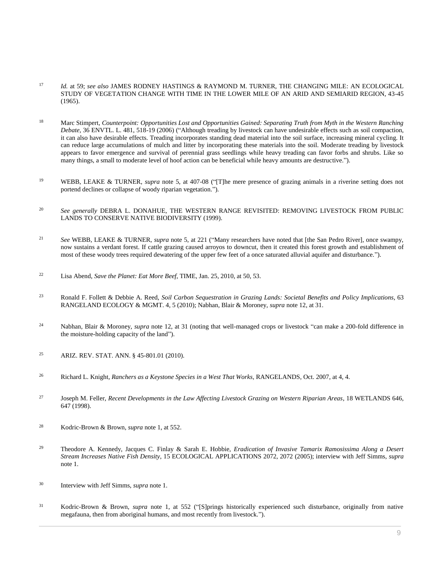- <sup>17</sup> *Id.* at 59; *see also* JAMES RODNEY HASTINGS & RAYMOND M. TURNER, THE CHANGING MILE: AN ECOLOGICAL STUDY OF VEGETATION CHANGE WITH TIME IN THE LOWER MILE OF AN ARID AND SEMIARID REGION, 43-45 (1965).
- <sup>18</sup> Marc Stimpert, *[Counterpoint: Opportunities Lost and Opportunities Gained: Separating Truth from Myth in the Western Ranching](http://www.westlaw.com/Link/Document/FullText?findType=Y&serNum=0324375917&pubNum=0003094&originatingDoc=I0ecc82932df011e18b05fdf15589d8e8&refType=LR&fi=co_pp_sp_3094_518&originationContext=document&vr=3.0&rs=cblt1.0&transitionType=DocumentItem&contextData=(sc.Search)#co_pp_sp_3094_518)  Debate*[, 36 ENVTL. L. 481, 518-19 \(2006\)](http://www.westlaw.com/Link/Document/FullText?findType=Y&serNum=0324375917&pubNum=0003094&originatingDoc=I0ecc82932df011e18b05fdf15589d8e8&refType=LR&fi=co_pp_sp_3094_518&originationContext=document&vr=3.0&rs=cblt1.0&transitionType=DocumentItem&contextData=(sc.Search)#co_pp_sp_3094_518) ("Although treading by livestock can have undesirable effects such as soil compaction, it can also have desirable effects. Treading incorporates standing dead material into the soil surface, increasing mineral cycling. It can reduce large accumulations of mulch and litter by incorporating these materials into the soil. Moderate treading by livestock appears to favor emergence and survival of perennial grass seedlings while heavy treading can favor forbs and shrubs. Like so many things, a small to moderate level of hoof action can be beneficial while heavy amounts are destructive.").
- <sup>19</sup> WEBB, LEAKE & TURNER, *supra* note 5, at 407-08 ("[T]he mere presence of grazing animals in a riverine setting does not portend declines or collapse of woody riparian vegetation.").
- <sup>20</sup> *See generally* DEBRA L. DONAHUE, THE WESTERN RANGE REVISITED: REMOVING LIVESTOCK FROM PUBLIC LANDS TO CONSERVE NATIVE BIODIVERSITY (1999).
- <sup>21</sup> *See* WEBB, LEAKE & TURNER, *supra* note 5, at 221 ("Many researchers have noted that [the San Pedro River], once swampy, now sustains a verdant forest. If cattle grazing caused arroyos to downcut, then it created this forest growth and establishment of most of these woody trees required dewatering of the upper few feet of a once saturated alluvial aquifer and disturbance.").
- <sup>22</sup> Lisa Abend, *Save the Planet: Eat More Beef*, TIME, Jan. 25, 2010, at 50, 53.
- <sup>23</sup> Ronald F. Follett & Debbie A. Reed, *Soil Carbon Sequestration in Grazing Lands: Societal Benefits and Policy Implications*, 63 RANGELAND ECOLOGY & MGMT. 4, 5 (2010); Nabhan, Blair & Moroney, *supra* note 12, at 31.
- <sup>24</sup> Nabhan, Blair & Moroney, *supra* note 12, at 31 (noting that well-managed crops or livestock "can make a 200-fold difference in the moisture-holding capacity of the land").
- <sup>25</sup> [ARIZ. REV. STAT. ANN. § 45-801.01](http://www.westlaw.com/Link/Document/FullText?findType=L&pubNum=1000251&cite=AZSTS45-801.01&originatingDoc=I0ecc82932df011e18b05fdf15589d8e8&refType=LQ&originationContext=document&vr=3.0&rs=cblt1.0&transitionType=DocumentItem&contextData=(sc.Search)) (2010).
- <sup>26</sup> Richard L. Knight*, Ranchers as a Keystone Species in a West That Works*, RANGELANDS, Oct. 2007, at 4, 4.
- <sup>27</sup> Joseph M. Feller, *Recent Developments in the Law Affecting Livestock Grazing on Western Riparian Areas*, 18 WETLANDS 646, 647 (1998).
- <sup>28</sup> Kodric-Brown & Brown, *supra* note 1, at 552.
- <sup>29</sup> Theodore A. Kennedy, Jacques C. Finlay & Sarah E. Hobbie, *Eradication of Invasive Tamarix Ramosissima Along a Desert Stream Increases Native Fish Density*, 15 ECOLOGICAL APPLICATIONS 2072, 2072 (2005); interview with Jeff Simms, *supra* note 1.
- <sup>30</sup> Interview with Jeff Simms, *supra* note 1.
- <sup>31</sup> Kodric-Brown & Brown, *supra* note 1, at 552 ("[S]prings historically experienced such disturbance, originally from native megafauna, then from aboriginal humans, and most recently from livestock.").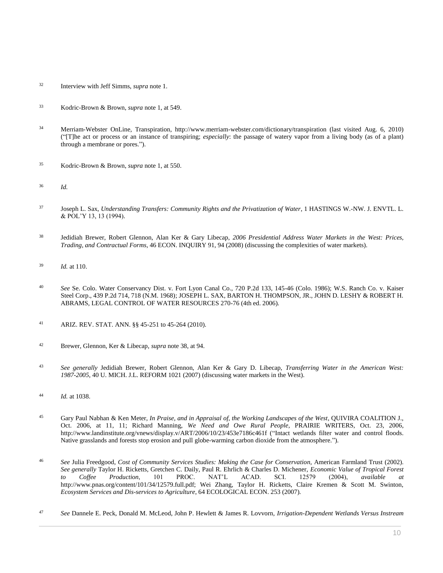- <sup>32</sup> Interview with Jeff Simms, *supra* note 1.
- <sup>33</sup> Kodric-Brown & Brown, *supra* note 1, at 549.
- <sup>34</sup> Merriam-Webster OnLine, Transpiration, http://www.merriam-webster.com/dictionary/transpiration (last visited Aug. 6, 2010) ("[T]he act or process or an instance of transpiring; *especially*: the passage of watery vapor from a living body (as of a plant) through a membrane or pores.").
- <sup>35</sup> Kodric-Brown & Brown, *supra* note 1, at 550.
- <sup>36</sup> *Id.*
- <sup>37</sup> Joseph L. Sax, *[Understanding Transfers: Community Rights and the Privatization of Water](http://www.westlaw.com/Link/Document/FullText?findType=Y&serNum=0105916908&pubNum=0109839&originatingDoc=I0ecc82932df011e18b05fdf15589d8e8&refType=LR&originationContext=document&vr=3.0&rs=cblt1.0&transitionType=DocumentItem&contextData=(sc.Search))*, 1 HASTINGS W.-NW. J. ENVTL. L. [& POL'Y 13, 13 \(1994\).](http://www.westlaw.com/Link/Document/FullText?findType=Y&serNum=0105916908&pubNum=0109839&originatingDoc=I0ecc82932df011e18b05fdf15589d8e8&refType=LR&originationContext=document&vr=3.0&rs=cblt1.0&transitionType=DocumentItem&contextData=(sc.Search))
- <sup>38</sup> Jedidiah Brewer, Robert Glennon, Alan Ker & Gary Libecap, *2006 Presidential Address Water Markets in the West: Prices, Trading, and Contractual Forms*, 46 ECON. INQUIRY 91, 94 (2008) (discussing the complexities of water markets).
- <sup>39</sup> *Id.* at 110.
- <sup>40</sup> *See* Se. [Colo. Water Conservancy Dist. v. Fort Lyon Canal Co., 720 P.2d 133, 145-46 \(Colo. 1986\);](http://www.westlaw.com/Link/Document/FullText?findType=Y&serNum=1986128168&pubNum=0000661&originatingDoc=I0ecc82932df011e18b05fdf15589d8e8&refType=RP&fi=co_pp_sp_661_145&originationContext=document&vr=3.0&rs=cblt1.0&transitionType=DocumentItem&contextData=(sc.Search)#co_pp_sp_661_145) [W.S. Ranch Co. v. Kaiser](http://www.westlaw.com/Link/Document/FullText?findType=Y&serNum=1968128735&pubNum=0000661&originatingDoc=I0ecc82932df011e18b05fdf15589d8e8&refType=RP&fi=co_pp_sp_661_718&originationContext=document&vr=3.0&rs=cblt1.0&transitionType=DocumentItem&contextData=(sc.Search)#co_pp_sp_661_718)  [Steel Corp., 439 P.2d 714, 718 \(N.M. 1968\);](http://www.westlaw.com/Link/Document/FullText?findType=Y&serNum=1968128735&pubNum=0000661&originatingDoc=I0ecc82932df011e18b05fdf15589d8e8&refType=RP&fi=co_pp_sp_661_718&originationContext=document&vr=3.0&rs=cblt1.0&transitionType=DocumentItem&contextData=(sc.Search)#co_pp_sp_661_718) JOSEPH L. SAX, BARTON H. THOMPSON, JR., JOHN D. LESHY & ROBERT H. ABRAMS, LEGAL CONTROL OF WATER RESOURCES 270-76 (4th ed. 2006).
- <sup>41</sup> [ARIZ. REV. STAT. ANN. §§ 45-251](http://www.westlaw.com/Link/Document/FullText?findType=L&pubNum=1000251&cite=AZSTS45-251&originatingDoc=I0ecc82932df011e18b05fdf15589d8e8&refType=LQ&originationContext=document&vr=3.0&rs=cblt1.0&transitionType=DocumentItem&contextData=(sc.Search)) t[o 45-264](http://www.westlaw.com/Link/Document/FullText?findType=L&pubNum=1000251&cite=AZSTS45-264&originatingDoc=I0ecc82932df011e18b05fdf15589d8e8&refType=LQ&originationContext=document&vr=3.0&rs=cblt1.0&transitionType=DocumentItem&contextData=(sc.Search)) (2010).
- <sup>42</sup> Brewer, Glennon, Ker & Libecap, *supra* note 38, at 94.
- <sup>43</sup> *See generally* Jedidiah Brewer, Robert Glennon, Alan Ker & Gary D. Libecap, *[Transferring Water in the American West:](http://www.westlaw.com/Link/Document/FullText?findType=Y&serNum=0332540233&pubNum=0001358&originatingDoc=I0ecc82932df011e18b05fdf15589d8e8&refType=LR&originationContext=document&vr=3.0&rs=cblt1.0&transitionType=DocumentItem&contextData=(sc.Search))  1987-2005*[, 40 U. MICH. J.L. REFORM 1021 \(2007\)](http://www.westlaw.com/Link/Document/FullText?findType=Y&serNum=0332540233&pubNum=0001358&originatingDoc=I0ecc82932df011e18b05fdf15589d8e8&refType=LR&originationContext=document&vr=3.0&rs=cblt1.0&transitionType=DocumentItem&contextData=(sc.Search)) (discussing water markets in the West).
- <sup>44</sup> *Id.* [at 1038.](http://www.westlaw.com/Link/Document/FullText?findType=Y&serNum=0332540233&originatingDoc=I0ecc82932df011e18b05fdf15589d8e8&refType=LR&originationContext=document&vr=3.0&rs=cblt1.0&transitionType=DocumentItem&contextData=(sc.Search))
- <sup>45</sup> Gary Paul Nabhan & Ken Meter, *In Praise, and in Appraisal of, the Working Landscapes of the West*, QUIVIRA COALITION J., Oct. 2006, at 11, 11; Richard Manning, *We Need and Owe Rural People*, PRAIRIE WRITERS, Oct. 23, 2006, http://www.landinstitute.org/vnews/display.v/ART/2006/10/23/453e7186c461f ("Intact wetlands filter water and control floods. Native grasslands and forests stop erosion and pull globe-warming carbon dioxide from the atmosphere.").
- <sup>46</sup> *See* Julia Freedgood, *Cost of Community Services Studies: Making the Case for Conservation*, American Farmland Trust (2002). *See generally* Taylor H. Ricketts, Gretchen C. Daily, Paul R. Ehrlich & Charles D. Michener, *Economic Value of Tropical Forest to Coffee Production*, 101 PROC. NAT'L ACAD. SCI. 12579 (2004), *available at* http://www.pnas.org/content/101/34/12579.full.pdf; Wei Zhang, Taylor H. Ricketts, Claire Kremen & Scott M. Swinton, *Ecosystem Services and Dis-services to Agriculture*, 64 ECOLOGICAL ECON. 253 (2007).
- <sup>47</sup> *See* Dannele E. Peck, Donald M. McLeod, John P. Hewlett & James R. Lovvorn, *Irrigation-Dependent Wetlands Versus Instream*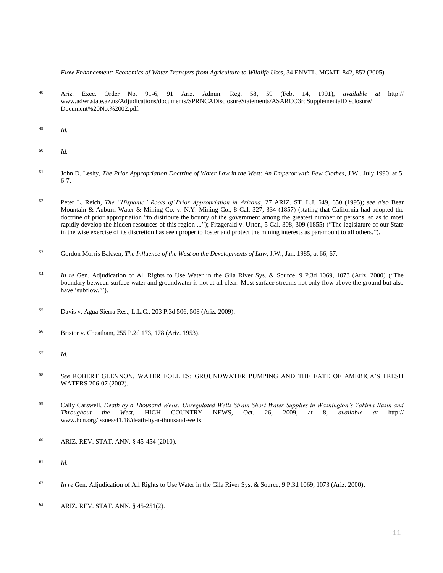*Flow Enhancement: Economics of Water Transfers from Agriculture to Wildlife Uses*, 34 ENVTL. MGMT. 842, 852 (2005).

- <sup>48</sup> Ariz. [Exec. Order No. 91-6,](http://www.westlaw.com/Link/Document/FullText?findType=Y&pubNum=0001043&cite=EXECORDERNO91-6&originatingDoc=I0ecc82932df011e18b05fdf15589d8e8&refType=CA&originationContext=document&vr=3.0&rs=cblt1.0&transitionType=DocumentItem&contextData=(sc.Search)) [91](http://www.westlaw.com/Link/Document/FullText?findType=Y&pubNum=0001043&cite=EXECORDERNO91&originatingDoc=I0ecc82932df011e18b05fdf15589d8e8&refType=CA&originationContext=document&vr=3.0&rs=cblt1.0&transitionType=DocumentItem&contextData=(sc.Search)) Ariz. Admin. Reg. 58, 59 (Feb. 14, 1991), *available at* http:// www.adwr.state.az.us/Adjudications/documents/SPRNCADisclosureStatements/ASARCO3rdSupplementalDisclosure/ Document%20No.%2002.pdf.
- <sup>49</sup> *Id.*
- <sup>50</sup> *Id.*
- <sup>51</sup> John D. Leshy, *The Prior Appropriation Doctrine of Water Law in the West: An Emperor with Few Clothes*, J.W., July 1990, at 5, 6-7.
- <sup>52</sup> Peter L. Reich, *[The "Hispanic" Roots of Prior Appropriation in Arizona](http://www.westlaw.com/Link/Document/FullText?findType=Y&serNum=0105297678&pubNum=0001094&originatingDoc=I0ecc82932df011e18b05fdf15589d8e8&refType=LR&fi=co_pp_sp_1094_650&originationContext=document&vr=3.0&rs=cblt1.0&transitionType=DocumentItem&contextData=(sc.Search)#co_pp_sp_1094_650)*, 27 ARIZ. ST. L.J. 649, 650 (1995); *see also* [Bear](http://www.westlaw.com/Link/Document/FullText?findType=Y&serNum=1857001976&pubNum=0000220&originatingDoc=I0ecc82932df011e18b05fdf15589d8e8&refType=RP&fi=co_pp_sp_220_334&originationContext=document&vr=3.0&rs=cblt1.0&transitionType=DocumentItem&contextData=(sc.Search)#co_pp_sp_220_334)  [Mountain & Auburn Water & Mining Co. v. N.Y. Mining Co., 8](http://www.westlaw.com/Link/Document/FullText?findType=Y&serNum=1857001976&pubNum=0000220&originatingDoc=I0ecc82932df011e18b05fdf15589d8e8&refType=RP&fi=co_pp_sp_220_334&originationContext=document&vr=3.0&rs=cblt1.0&transitionType=DocumentItem&contextData=(sc.Search)#co_pp_sp_220_334) Cal. 327, 334 (1857) (stating that California had adopted the doctrine of prior appropriation "to distribute the bounty of the government among the greatest number of persons, so as to most rapidly develop the hidden resources of this region ..."); [Fitzgerald v. Urton, 5 Cal. 308, 309 \(1855\)](http://www.westlaw.com/Link/Document/FullText?findType=Y&serNum=1855001754&pubNum=0000220&originatingDoc=I0ecc82932df011e18b05fdf15589d8e8&refType=RP&fi=co_pp_sp_220_309&originationContext=document&vr=3.0&rs=cblt1.0&transitionType=DocumentItem&contextData=(sc.Search)#co_pp_sp_220_309) ("The legislature of our State in the wise exercise of its discretion has seen proper to foster and protect the mining interests as paramount to all others.").
- <sup>53</sup> Gordon Morris Bakken, *The Influence of the West on the Developments of Law*, J.W., Jan. 1985, at 66, 67.
- <sup>54</sup> *In re* [Gen. Adjudication of All Rights to Use Water in the Gila River Sys. & Source, 9 P.3d 1069, 1073 \(Ariz. 2000\)](http://www.westlaw.com/Link/Document/FullText?findType=Y&serNum=2000531688&pubNum=0004645&originatingDoc=I0ecc82932df011e18b05fdf15589d8e8&refType=RP&fi=co_pp_sp_4645_1073&originationContext=document&vr=3.0&rs=cblt1.0&transitionType=DocumentItem&contextData=(sc.Search)#co_pp_sp_4645_1073) ("The boundary between surface water and groundwater is not at all clear. Most surface streams not only flow above the ground but also have 'subflow."').
- <sup>55</sup> [Davis v. Agua Sierra Res., L.L.C., 203 P.3d 506, 508 \(Ariz. 2009\).](http://www.westlaw.com/Link/Document/FullText?findType=Y&serNum=2018387096&pubNum=0004645&originatingDoc=I0ecc82932df011e18b05fdf15589d8e8&refType=RP&fi=co_pp_sp_4645_508&originationContext=document&vr=3.0&rs=cblt1.0&transitionType=DocumentItem&contextData=(sc.Search)#co_pp_sp_4645_508)
- <sup>56</sup> [Bristor v. Cheatham, 255 P.2d 173, 178 \(Ariz. 1953\).](http://www.westlaw.com/Link/Document/FullText?findType=Y&serNum=1953113383&pubNum=0000661&originatingDoc=I0ecc82932df011e18b05fdf15589d8e8&refType=RP&fi=co_pp_sp_661_178&originationContext=document&vr=3.0&rs=cblt1.0&transitionType=DocumentItem&contextData=(sc.Search)#co_pp_sp_661_178)
- <sup>57</sup> *Id.*
- <sup>58</sup> *See* ROBERT GLENNON, WATER FOLLIES: GROUNDWATER PUMPING AND THE FATE OF AMERICA'S FRESH WATERS 206-07 (2002).
- <sup>59</sup> Cally Carswell, *Death by a Thousand Wells: Unregulated Wells Strain Short Water Supplies in Washington's Yakima Basin and Throughout the West*, HIGH COUNTRY NEWS, Oct. 26, 2009, at 8, *available at* http:// www.hcn.org/issues/41.18/death-by-a-thousand-wells.
- <sup>60</sup> [ARIZ. REV. STAT. ANN. § 45-454](http://www.westlaw.com/Link/Document/FullText?findType=L&pubNum=1000251&cite=AZSTS45-454&originatingDoc=I0ecc82932df011e18b05fdf15589d8e8&refType=LQ&originationContext=document&vr=3.0&rs=cblt1.0&transitionType=DocumentItem&contextData=(sc.Search)) (2010).
- <sup>61</sup> *Id.*
- <sup>62</sup> *In re* [Gen. Adjudication of All Rights to Use Water in the Gila River Sys. & Source, 9 P.3d 1069, 1073 \(Ariz. 2000\).](http://www.westlaw.com/Link/Document/FullText?findType=Y&serNum=2000531688&pubNum=0004645&originatingDoc=I0ecc82932df011e18b05fdf15589d8e8&refType=RP&fi=co_pp_sp_4645_1073&originationContext=document&vr=3.0&rs=cblt1.0&transitionType=DocumentItem&contextData=(sc.Search)#co_pp_sp_4645_1073)
- <sup>63</sup> [ARIZ. REV. STAT. ANN. § 45-251\(2\).](http://www.westlaw.com/Link/Document/FullText?findType=L&pubNum=1000251&cite=AZSTS45-251&originatingDoc=I0ecc82932df011e18b05fdf15589d8e8&refType=LQ&originationContext=document&vr=3.0&rs=cblt1.0&transitionType=DocumentItem&contextData=(sc.Search))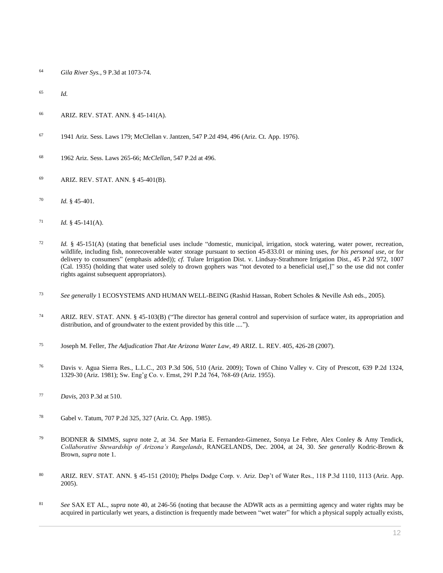- *Gila River Sys.*[, 9 P.3d at 1073-74.](http://www.westlaw.com/Link/Document/FullText?findType=Y&serNum=2000531688&pubNum=0004645&originatingDoc=I0ecc82932df011e18b05fdf15589d8e8&refType=RP&fi=co_pp_sp_4645_1073&originationContext=document&vr=3.0&rs=cblt1.0&transitionType=DocumentItem&contextData=(sc.Search)#co_pp_sp_4645_1073)
- *Id.*
- [ARIZ. REV. STAT. ANN. § 45-141\(A\).](http://www.westlaw.com/Link/Document/FullText?findType=L&pubNum=1000251&cite=AZSTS45-141&originatingDoc=I0ecc82932df011e18b05fdf15589d8e8&refType=LQ&originationContext=document&vr=3.0&rs=cblt1.0&transitionType=DocumentItem&contextData=(sc.Search))
- 1941 Ariz. Sess. Laws 179[; McClellan v. Jantzen, 547 P.2d 494, 496 \(Ariz. Ct. App. 1976\).](http://www.westlaw.com/Link/Document/FullText?findType=Y&serNum=1976113356&pubNum=0000661&originatingDoc=I0ecc82932df011e18b05fdf15589d8e8&refType=RP&fi=co_pp_sp_661_496&originationContext=document&vr=3.0&rs=cblt1.0&transitionType=DocumentItem&contextData=(sc.Search)#co_pp_sp_661_496)
- 1962 Ariz. Sess. Laws 265-66; *McClellan*[, 547 P.2d at 496.](http://www.westlaw.com/Link/Document/FullText?findType=Y&serNum=1976113356&pubNum=0000661&originatingDoc=I0ecc82932df011e18b05fdf15589d8e8&refType=RP&fi=co_pp_sp_661_496&originationContext=document&vr=3.0&rs=cblt1.0&transitionType=DocumentItem&contextData=(sc.Search)#co_pp_sp_661_496)
- [ARIZ. REV. STAT. ANN. § 45-401\(B\).](http://www.westlaw.com/Link/Document/FullText?findType=L&pubNum=1000251&cite=AZSTS45-401&originatingDoc=I0ecc82932df011e18b05fdf15589d8e8&refType=LQ&originationContext=document&vr=3.0&rs=cblt1.0&transitionType=DocumentItem&contextData=(sc.Search))
- *Id.* [§ 45-401.](http://www.westlaw.com/Link/Document/FullText?findType=L&pubNum=1000251&cite=AZSTS45-401&originatingDoc=I0ecc82932df011e18b05fdf15589d8e8&refType=LQ&originationContext=document&vr=3.0&rs=cblt1.0&transitionType=DocumentItem&contextData=(sc.Search))
- *Id.* [§ 45-141\(A\).](http://www.westlaw.com/Link/Document/FullText?findType=L&pubNum=1000251&cite=AZSTS45-141&originatingDoc=I0ecc82932df011e18b05fdf15589d8e8&refType=LQ&originationContext=document&vr=3.0&rs=cblt1.0&transitionType=DocumentItem&contextData=(sc.Search))
- *Id.* § 45-151(A) (stating that beneficial uses include "domestic, municipal, irrigation, stock watering, water power, recreation, wildlife, including fish, nonrecoverable water storage pursuant to section 45-833.01 or mining uses, *for his personal use*, or for delivery to consumers" (emphasis added)); *cf.* [Tulare Irrigation Dist. v. Lindsay-Strathmore Irrigation Dist., 45 P.2d 972, 1007](http://www.westlaw.com/Link/Document/FullText?findType=Y&serNum=1935119971&pubNum=0000661&originatingDoc=I0ecc82932df011e18b05fdf15589d8e8&refType=RP&fi=co_pp_sp_661_1007&originationContext=document&vr=3.0&rs=cblt1.0&transitionType=DocumentItem&contextData=(sc.Search)#co_pp_sp_661_1007)  [\(Cal. 1935\)](http://www.westlaw.com/Link/Document/FullText?findType=Y&serNum=1935119971&pubNum=0000661&originatingDoc=I0ecc82932df011e18b05fdf15589d8e8&refType=RP&fi=co_pp_sp_661_1007&originationContext=document&vr=3.0&rs=cblt1.0&transitionType=DocumentItem&contextData=(sc.Search)#co_pp_sp_661_1007) (holding that water used solely to drown gophers was "not devoted to a beneficial use[,]" so the use did not confer rights against subsequent appropriators).
- *See generally* 1 ECOSYSTEMS AND HUMAN WELL-BEING (Rashid Hassan, Robert Scholes & Neville Ash eds., 2005).
- [ARIZ. REV. STAT. ANN. § 45-103\(B\)](http://www.westlaw.com/Link/Document/FullText?findType=L&pubNum=1000251&cite=AZSTS45-103&originatingDoc=I0ecc82932df011e18b05fdf15589d8e8&refType=LQ&originationContext=document&vr=3.0&rs=cblt1.0&transitionType=DocumentItem&contextData=(sc.Search)) ("The director has general control and supervision of surface water, its appropriation and distribution, and of groundwater to the extent provided by this title ....").
- Joseph M. Feller, *[The Adjudication That Ate Arizona Water Law](http://www.westlaw.com/Link/Document/FullText?findType=Y&serNum=0332237055&pubNum=0001093&originatingDoc=I0ecc82932df011e18b05fdf15589d8e8&refType=LR&fi=co_pp_sp_1093_426&originationContext=document&vr=3.0&rs=cblt1.0&transitionType=DocumentItem&contextData=(sc.Search)#co_pp_sp_1093_426)*, 49 ARIZ. L. REV. 405, 426-28 (2007).
- [Davis v. Agua Sierra Res., L.L.C., 203 P.3d 506, 510 \(Ariz. 2009\);](http://www.westlaw.com/Link/Document/FullText?findType=Y&serNum=2018387096&pubNum=0004645&originatingDoc=I0ecc82932df011e18b05fdf15589d8e8&refType=RP&fi=co_pp_sp_4645_510&originationContext=document&vr=3.0&rs=cblt1.0&transitionType=DocumentItem&contextData=(sc.Search)#co_pp_sp_4645_510) Town of Chino Valley v. City of Prescott, 639 P.2d 1324, 1329-30 (Ariz. 1981); Sw[. Eng'g Co. v. Ernst, 291 P.2d 764, 768-69 \(Ariz. 1955\).](http://www.westlaw.com/Link/Document/FullText?findType=Y&serNum=1956122362&pubNum=0000661&originatingDoc=I0ecc82932df011e18b05fdf15589d8e8&refType=RP&fi=co_pp_sp_661_768&originationContext=document&vr=3.0&rs=cblt1.0&transitionType=DocumentItem&contextData=(sc.Search)#co_pp_sp_661_768)
- *Davis*[, 203 P.3d at 510.](http://www.westlaw.com/Link/Document/FullText?findType=Y&serNum=2018387096&pubNum=0004645&originatingDoc=I0ecc82932df011e18b05fdf15589d8e8&refType=RP&fi=co_pp_sp_4645_510&originationContext=document&vr=3.0&rs=cblt1.0&transitionType=DocumentItem&contextData=(sc.Search)#co_pp_sp_4645_510)
- [Gabel v. Tatum, 707 P.2d 325, 327 \(Ariz. Ct. App. 1985\).](http://www.westlaw.com/Link/Document/FullText?findType=Y&serNum=1985152087&pubNum=0000661&originatingDoc=I0ecc82932df011e18b05fdf15589d8e8&refType=RP&fi=co_pp_sp_661_327&originationContext=document&vr=3.0&rs=cblt1.0&transitionType=DocumentItem&contextData=(sc.Search)#co_pp_sp_661_327)
- BODNER & SIMMS, *supra* note 2, at 34. *See* Maria E. Fernandez-Gimenez, Sonya Le Febre, Alex Conley & Amy Tendick, *Collaborative Stewardship of Arizona's Rangelands*, RANGELANDS, Dec. 2004, at 24, 30. *See generally* Kodric-Brown & Brown, *supra* note 1.
- [ARIZ. REV. STAT. ANN. § 45-151](http://www.westlaw.com/Link/Document/FullText?findType=L&pubNum=1000251&cite=AZSTS45-151&originatingDoc=I0ecc82932df011e18b05fdf15589d8e8&refType=LQ&originationContext=document&vr=3.0&rs=cblt1.0&transitionType=DocumentItem&contextData=(sc.Search)) (2010); [Phelps Dodge Corp. v. Ariz. Dep't of Water Res., 118 P.3d 1110, 1113 \(Ariz. App.](http://www.westlaw.com/Link/Document/FullText?findType=Y&serNum=2007228724&pubNum=0004645&originatingDoc=I0ecc82932df011e18b05fdf15589d8e8&refType=RP&fi=co_pp_sp_4645_1113&originationContext=document&vr=3.0&rs=cblt1.0&transitionType=DocumentItem&contextData=(sc.Search)#co_pp_sp_4645_1113)  [2005\).](http://www.westlaw.com/Link/Document/FullText?findType=Y&serNum=2007228724&pubNum=0004645&originatingDoc=I0ecc82932df011e18b05fdf15589d8e8&refType=RP&fi=co_pp_sp_4645_1113&originationContext=document&vr=3.0&rs=cblt1.0&transitionType=DocumentItem&contextData=(sc.Search)#co_pp_sp_4645_1113)
- *See* SAX ET AL., *supra* note 40, at 246-56 (noting that because the ADWR acts as a permitting agency and water rights may be acquired in particularly wet years, a distinction is frequently made between "wet water" for which a physical supply actually exists,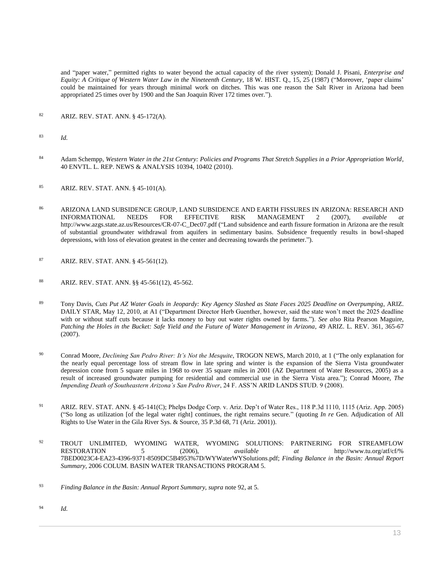and "paper water," permitted rights to water beyond the actual capacity of the river system); Donald J. Pisani, *Enterprise and Equity: A Critique of Western Water Law in the Nineteenth Century*, 18 W. HIST. Q., 15, 25 (1987) ("Moreover, 'paper claims' could be maintained for years through minimal work on ditches. This was one reason the Salt River in Arizona had been appropriated 25 times over by 1900 and the San Joaquin River 172 times over.").

- <sup>82</sup> [ARIZ. REV. STAT. ANN. § 45-172\(A\).](http://www.westlaw.com/Link/Document/FullText?findType=L&pubNum=1000251&cite=AZSTS45-172&originatingDoc=I0ecc82932df011e18b05fdf15589d8e8&refType=LQ&originationContext=document&vr=3.0&rs=cblt1.0&transitionType=DocumentItem&contextData=(sc.Search))
- <sup>83</sup> *Id.*
- <sup>84</sup> Adam Schempp, *[Western Water in the 21st Century: Policies and Programs That Stretch Supplies in a Prior Appropriation World](http://www.westlaw.com/Link/Document/FullText?findType=Y&serNum=0352718719&pubNum=0204773&originatingDoc=I0ecc82932df011e18b05fdf15589d8e8&refType=LR&fi=co_pp_sp_204773_10402&originationContext=document&vr=3.0&rs=cblt1.0&transitionType=DocumentItem&contextData=(sc.Search)#co_pp_sp_204773_10402)*, [40 ENVTL. L. REP. NEWS & ANALYSIS 10394, 10402 \(2010\).](http://www.westlaw.com/Link/Document/FullText?findType=Y&serNum=0352718719&pubNum=0204773&originatingDoc=I0ecc82932df011e18b05fdf15589d8e8&refType=LR&fi=co_pp_sp_204773_10402&originationContext=document&vr=3.0&rs=cblt1.0&transitionType=DocumentItem&contextData=(sc.Search)#co_pp_sp_204773_10402)
- <sup>85</sup> [ARIZ. REV. STAT. ANN. § 45-101\(A\).](http://www.westlaw.com/Link/Document/FullText?findType=L&pubNum=1000251&cite=AZSTS45-101&originatingDoc=I0ecc82932df011e18b05fdf15589d8e8&refType=LQ&originationContext=document&vr=3.0&rs=cblt1.0&transitionType=DocumentItem&contextData=(sc.Search))
- <sup>86</sup> ARIZONA LAND SUBSIDENCE GROUP, LAND SUBSIDENCE AND EARTH FISSURES IN ARIZONA: RESEARCH AND INFORMATIONAL NEEDS FOR EFFECTIVE RISK MANAGEMENT 2 (2007), *available at* http://www.azgs.state.az.us/Resources/CR-07-C\_Dec07.pdf ("Land subsidence and earth fissure formation in Arizona are the result of substantial groundwater withdrawal from aquifers in sedimentary basins. Subsidence frequently results in bowl-shaped depressions, with loss of elevation greatest in the center and decreasing towards the perimeter.").
- <sup>87</sup> [ARIZ. REV. STAT. ANN. § 45-561\(12\).](http://www.westlaw.com/Link/Document/FullText?findType=L&pubNum=1000251&cite=AZSTS45-561&originatingDoc=I0ecc82932df011e18b05fdf15589d8e8&refType=LQ&originationContext=document&vr=3.0&rs=cblt1.0&transitionType=DocumentItem&contextData=(sc.Search))
- <sup>88</sup> [ARIZ. REV. STAT. ANN. §§ 45-561\(12\),](http://www.westlaw.com/Link/Document/FullText?findType=L&pubNum=1000251&cite=AZSTS45-561&originatingDoc=I0ecc82932df011e18b05fdf15589d8e8&refType=LQ&originationContext=document&vr=3.0&rs=cblt1.0&transitionType=DocumentItem&contextData=(sc.Search)) [45-562.](http://www.westlaw.com/Link/Document/FullText?findType=L&pubNum=1000251&cite=AZSTS45-562&originatingDoc=I0ecc82932df011e18b05fdf15589d8e8&refType=LQ&originationContext=document&vr=3.0&rs=cblt1.0&transitionType=DocumentItem&contextData=(sc.Search))
- <sup>89</sup> Tony Davis, *Cuts Put AZ Water Goals in Jeopardy: Key Agency Slashed as State Faces 2025 Deadline on Overpumping*, ARIZ. DAILY STAR, May 12, 2010, at A1 ("Department Director Herb Guenther, however, said the state won't meet the 2025 deadline with or without staff cuts because it lacks money to buy out water rights owned by farms."). *See also* Rita Pearson Maguire, *[Patching the Holes in the Bucket: Safe Yield and the Future of Water Management in Arizona](http://www.westlaw.com/Link/Document/FullText?findType=Y&serNum=0332237053&pubNum=0001093&originatingDoc=I0ecc82932df011e18b05fdf15589d8e8&refType=LR&fi=co_pp_sp_1093_365&originationContext=document&vr=3.0&rs=cblt1.0&transitionType=DocumentItem&contextData=(sc.Search)#co_pp_sp_1093_365)*, 49 ARIZ. L. REV. 361, 365-67 [\(2007\).](http://www.westlaw.com/Link/Document/FullText?findType=Y&serNum=0332237053&pubNum=0001093&originatingDoc=I0ecc82932df011e18b05fdf15589d8e8&refType=LR&fi=co_pp_sp_1093_365&originationContext=document&vr=3.0&rs=cblt1.0&transitionType=DocumentItem&contextData=(sc.Search)#co_pp_sp_1093_365)
- <sup>90</sup> Conrad Moore, *Declining San Pedro River: It's Not the Mesquite*, TROGON NEWS, March 2010, at 1 ("The only explanation for the nearly equal percentage loss of stream flow in late spring and winter is the expansion of the Sierra Vista groundwater depression cone from 5 square miles in 1968 to over 35 square miles in 2001 (AZ Department of Water Resources, 2005) as a result of increased groundwater pumping for residential and commercial use in the Sierra Vista area."); Conrad Moore*, The Impending Death of Southeastern Arizona's San Pedro River*, 24 F. ASS'N ARID LANDS STUD. 9 (2008).
- <sup>91</sup> ARIZ. [REV. STAT. ANN. § 45-141\(C\);](http://www.westlaw.com/Link/Document/FullText?findType=L&pubNum=1000251&cite=AZSTS45-141&originatingDoc=I0ecc82932df011e18b05fdf15589d8e8&refType=LQ&originationContext=document&vr=3.0&rs=cblt1.0&transitionType=DocumentItem&contextData=(sc.Search)) [Phelps Dodge Corp. v. Ariz. Dep't of Water Res., 118 P.3d 1110, 1115 \(Ariz. App. 2005\)](http://www.westlaw.com/Link/Document/FullText?findType=Y&serNum=2007228724&pubNum=0004645&originatingDoc=I0ecc82932df011e18b05fdf15589d8e8&refType=RP&fi=co_pp_sp_4645_1115&originationContext=document&vr=3.0&rs=cblt1.0&transitionType=DocumentItem&contextData=(sc.Search)#co_pp_sp_4645_1115) ("So long as utilization [of the legal water right] continues, the right remains secure." (quoting *In re* [Gen. Adjudication of All](http://www.westlaw.com/Link/Document/FullText?findType=Y&serNum=2001473294&pubNum=0004645&originatingDoc=I0ecc82932df011e18b05fdf15589d8e8&refType=RP&fi=co_pp_sp_4645_71&originationContext=document&vr=3.0&rs=cblt1.0&transitionType=DocumentItem&contextData=(sc.Search)#co_pp_sp_4645_71)  [Rights to Use Water in the Gila River Sys. & Source, 35 P.3d 68, 71 \(Ariz. 2001\)\)](http://www.westlaw.com/Link/Document/FullText?findType=Y&serNum=2001473294&pubNum=0004645&originatingDoc=I0ecc82932df011e18b05fdf15589d8e8&refType=RP&fi=co_pp_sp_4645_71&originationContext=document&vr=3.0&rs=cblt1.0&transitionType=DocumentItem&contextData=(sc.Search)#co_pp_sp_4645_71).
- <sup>92</sup> TROUT UNLIMITED, WYOMING WATER, WYOMING SOLUTIONS: PARTNERING FOR STREAMFLOW RESTORATION 5 (2006), *available at* http://www.tu.org/atf/cf/% 7BED0023C4-EA23-4396-9371-8509DC5B4953%7D/WYWaterWYSolutions.pdf; *Finding Balance in the Basin: Annual Report Summary*, 2006 COLUM. BASIN WATER TRANSACTIONS PROGRAM 5.

<sup>94</sup> *Id.*

<sup>93</sup> *Finding Balance in the Basin: Annual Report Summary, supra* note 92, at 5.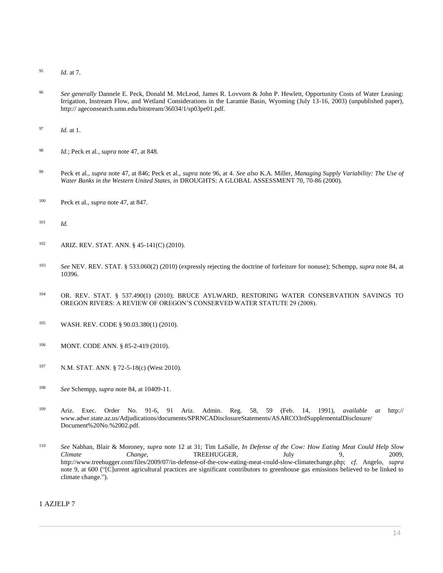- <sup>95</sup> *Id.* at 7.
- <sup>96</sup> *See generally* Dannele E. Peck, Donald M. McLeod, James R. Lovvorn & John P. Hewlett, Opportunity Costs of Water Leasing: Irrigation, Instream Flow, and Wetland Considerations in the Laramie Basin, Wyoming (July 13-16, 2003) (unpublished paper), http:// ageconsearch.umn.edu/bitstream/36034/1/sp03pe01.pdf.
- <sup>97</sup> *Id.* at 1.
- <sup>98</sup> *Id.*; Peck et al., *supra* note 47, at 848.
- <sup>99</sup> Peck et al., *supra* note 47, at 846; Peck et al., *supra* note 96, at 4. *See also* K.A. Miller, *Managing Supply Variability: The Use of Water Banks in the Western United States, in* DROUGHTS: A GLOBAL ASSESSMENT 70, 70-86 (2000).
- <sup>100</sup> Peck et al., *supra* note 47, at 847.
- <sup>101</sup> *Id.*
- <sup>102</sup> [ARIZ. REV. STAT. ANN. § 45-141\(C\)](http://www.westlaw.com/Link/Document/FullText?findType=L&pubNum=1000251&cite=AZSTS45-141&originatingDoc=I0ecc82932df011e18b05fdf15589d8e8&refType=LQ&originationContext=document&vr=3.0&rs=cblt1.0&transitionType=DocumentItem&contextData=(sc.Search)) (2010).
- <sup>103</sup> *See* [NEV. REV. STAT. § 533.060\(2\)](http://www.westlaw.com/Link/Document/FullText?findType=L&pubNum=1000363&cite=NVST533.060&originatingDoc=I0ecc82932df011e18b05fdf15589d8e8&refType=LQ&originationContext=document&vr=3.0&rs=cblt1.0&transitionType=DocumentItem&contextData=(sc.Search)) (2010) (expressly rejecting the doctrine of forfeiture for nonuse); Schempp, *supra* note 84, at 10396.
- <sup>104</sup> [OR. REV. STAT. § 537.490\(1\)](http://www.westlaw.com/Link/Document/FullText?findType=L&pubNum=1000534&cite=ORSTS537.490&originatingDoc=I0ecc82932df011e18b05fdf15589d8e8&refType=LQ&originationContext=document&vr=3.0&rs=cblt1.0&transitionType=DocumentItem&contextData=(sc.Search)) (2010); BRUCE AYLWARD, RESTORING WATER CONSERVATION SAVINGS TO OREGON RIVERS: A REVIEW OF OREGON'S CONSERVED WATER STATUTE 29 (2008).
- <sup>105</sup> [WASH. REV. CODE § 90.03.380\(1\)](http://www.westlaw.com/Link/Document/FullText?findType=L&pubNum=1000259&cite=WAST90.03.380&originatingDoc=I0ecc82932df011e18b05fdf15589d8e8&refType=LQ&originationContext=document&vr=3.0&rs=cblt1.0&transitionType=DocumentItem&contextData=(sc.Search)) (2010).
- 106 [MONT. CODE ANN. § 85-2-419](http://www.westlaw.com/Link/Document/FullText?findType=L&pubNum=1002018&cite=MTST85-2-419&originatingDoc=I0ecc82932df011e18b05fdf15589d8e8&refType=LQ&originationContext=document&vr=3.0&rs=cblt1.0&transitionType=DocumentItem&contextData=(sc.Search)) (2010).
- <sup>107</sup> [N.M. STAT. ANN. § 72-5-18\(c\)](http://www.westlaw.com/Link/Document/FullText?findType=L&pubNum=1000036&cite=NMSTS72-5-18&originatingDoc=I0ecc82932df011e18b05fdf15589d8e8&refType=LQ&originationContext=document&vr=3.0&rs=cblt1.0&transitionType=DocumentItem&contextData=(sc.Search)) (West 2010).
- <sup>108</sup> *See* Schempp, *supra* note 84, at 10409-11.
- <sup>109</sup> Ariz. [Exec. Order No. 91-6,](http://www.westlaw.com/Link/Document/FullText?findType=Y&pubNum=0001043&cite=EXECORDERNO91-6&originatingDoc=I0ecc82932df011e18b05fdf15589d8e8&refType=CA&originationContext=document&vr=3.0&rs=cblt1.0&transitionType=DocumentItem&contextData=(sc.Search)) [91](http://www.westlaw.com/Link/Document/FullText?findType=Y&pubNum=0001043&cite=EXECORDERNO91&originatingDoc=I0ecc82932df011e18b05fdf15589d8e8&refType=CA&originationContext=document&vr=3.0&rs=cblt1.0&transitionType=DocumentItem&contextData=(sc.Search)) Ariz. Admin. Reg. 58, 59 (Feb. 14, 1991), *available at* http:// www.adwr.state.az.us/Adjudications/documents/SPRNCADisclosureStatements/ASARCO3rdSupplementalDisclosure/ Document%20No.%2002.pdf.
- <sup>110</sup> *See* Nabhan, Blair & Moroney, *supra* note 12 at 31; Tim LaSalle, *In Defense of the Cow: How Eating Meat Could Help Slow Climate* Change, TREEHUGGER, July 9, 2009, http://www.treehugger.com/files/2009/07/in-defense-of-the-cow-eating-meat-could-slow-climatechange.php; *cf.* Angelo, *supra* note 9, at 600 ("[C]urrent agricultural practices are significant contributors to greenhouse gas emissions believed to be linked to climate change.").

1 AZJELP 7